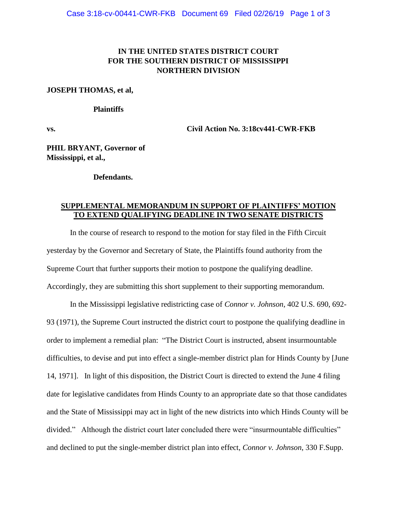### **IN THE UNITED STATES DISTRICT COURT FOR THE SOUTHERN DISTRICT OF MISSISSIPPI NORTHERN DIVISION**

#### **JOSEPH THOMAS, et al,**

#### **Plaintiffs**

**vs. Civil Action No. 3:18cv441-CWR-FKB**

**PHIL BRYANT, Governor of Mississippi, et al.,**

#### **Defendants.**

### **SUPPLEMENTAL MEMORANDUM IN SUPPORT OF PLAINTIFFS' MOTION TO EXTEND QUALIFYING DEADLINE IN TWO SENATE DISTRICTS**

In the course of research to respond to the motion for stay filed in the Fifth Circuit yesterday by the Governor and Secretary of State, the Plaintiffs found authority from the Supreme Court that further supports their motion to postpone the qualifying deadline. Accordingly, they are submitting this short supplement to their supporting memorandum.

In the Mississippi legislative redistricting case of *Connor v. Johnson*, 402 U.S. 690, 692- 93 (1971), the Supreme Court instructed the district court to postpone the qualifying deadline in order to implement a remedial plan: "The District Court is instructed, absent insurmountable difficulties, to devise and put into effect a single-member district plan for Hinds County by [June 14, 1971]. In light of this disposition, the District Court is directed to extend the June 4 filing date for legislative candidates from Hinds County to an appropriate date so that those candidates and the State of Mississippi may act in light of the new districts into which Hinds County will be divided." Although the district court later concluded there were "insurmountable difficulties" and declined to put the single-member district plan into effect, *Connor v. Johnson*, 330 F.Supp.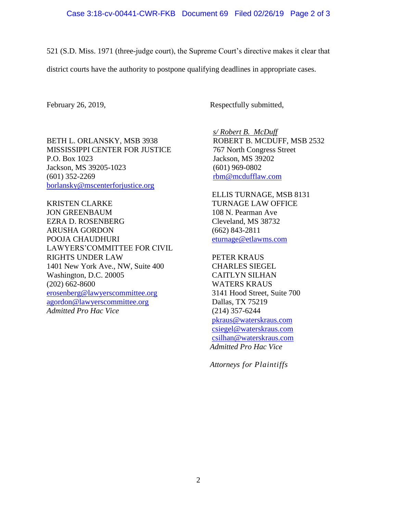521 (S.D. Miss. 1971 (three-judge court), the Supreme Court's directive makes it clear that

district courts have the authority to postpone qualifying deadlines in appropriate cases.

February 26, 2019, Respectfully submitted,

BETH L. ORLANSKY, MSB 3938 MISSISSIPPI CENTER FOR JUSTICE P.O. Box 1023 Jackson, MS 39205-1023 (601) 352-2269 [borlansky@mscenterforjustice.org](mailto:borlansky@mscenterforjustice.org)

KRISTEN CLARKE JON GREENBAUM EZRA D. ROSENBERG ARUSHA GORDON POOJA CHAUDHURI LAWYERS'COMMITTEE FOR CIVIL RIGHTS UNDER LAW 1401 New York Ave., NW, Suite 400 Washington, D.C. 20005 (202) 662-8600 [erosenberg@lawyerscommittee.org](mailto:erosenberg@lawyerscommittee.org) [agordon@lawyerscommittee.org](mailto:agordon@lawyerscommittee.org) *Admitted Pro Hac Vice*

*s/ Robert B. McDuff* ROBERT B. MCDUFF, MSB 2532 767 North Congress Street Jackson, MS 39202 (601) 969-0802 [rbm@mcdufflaw.com](mailto:rbm@mcdufflaw.com)

ELLIS TURNAGE, MSB 8131 TURNAGE LAW OFFICE 108 N. Pearman Ave Cleveland, MS 38732 (662) 843-2811 [eturnage@etlawms.com](mailto:eturnage@etlawms.com)

PETER KRAUS CHARLES SIEGEL CAITLYN SILHAN WATERS KRAUS 3141 Hood Street, Suite 700 Dallas, TX 75219 (214) 357-6244 [pkraus@waterskraus.com](mailto:pkraus@waterskraus.com) [csiegel@waterskraus.com](mailto:csiegel@waterskraus.com) [csilhan@waterskraus.com](mailto:csilhan@waterskraus.com) *Admitted Pro Hac Vice*

*Attorneys for Plaintiffs*